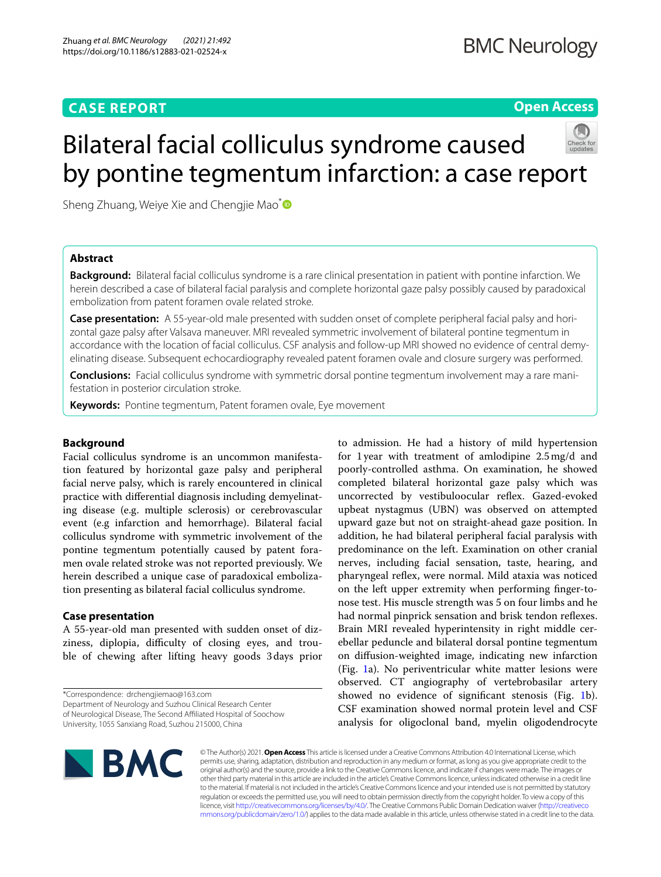# **CASE REPORT**

**Open Access**

# Bilateral facial colliculus syndrome caused by pontine tegmentum infarction: a case report

Sheng Zhuang, Weiye Xie and Chengjie Mao<sup>[\\*](http://orcid.org/0000-0002-8564-0255)</sup>

# **Abstract**

**Background:** Bilateral facial colliculus syndrome is a rare clinical presentation in patient with pontine infarction. We herein described a case of bilateral facial paralysis and complete horizontal gaze palsy possibly caused by paradoxical embolization from patent foramen ovale related stroke.

**Case presentation:** A 55-year-old male presented with sudden onset of complete peripheral facial palsy and horizontal gaze palsy after Valsava maneuver. MRI revealed symmetric involvement of bilateral pontine tegmentum in accordance with the location of facial colliculus. CSF analysis and follow-up MRI showed no evidence of central demyelinating disease. Subsequent echocardiography revealed patent foramen ovale and closure surgery was performed.

**Conclusions:** Facial colliculus syndrome with symmetric dorsal pontine tegmentum involvement may a rare manifestation in posterior circulation stroke.

**Keywords:** Pontine tegmentum, Patent foramen ovale, Eye movement

## **Background**

Facial colliculus syndrome is an uncommon manifestation featured by horizontal gaze palsy and peripheral facial nerve palsy, which is rarely encountered in clinical practice with diferential diagnosis including demyelinating disease (e.g. multiple sclerosis) or cerebrovascular event (e.g infarction and hemorrhage). Bilateral facial colliculus syndrome with symmetric involvement of the pontine tegmentum potentially caused by patent foramen ovale related stroke was not reported previously. We herein described a unique case of paradoxical embolization presenting as bilateral facial colliculus syndrome.

# **Case presentation**

A 55-year-old man presented with sudden onset of dizziness, diplopia, difficulty of closing eyes, and trouble of chewing after lifting heavy goods 3days prior

\*Correspondence: drchengjiemao@163.com Department of Neurology and Suzhou Clinical Research Center

of Neurological Disease, The Second Afliated Hospital of Soochow University, 1055 Sanxiang Road, Suzhou 215000, China

to admission. He had a history of mild hypertension for 1year with treatment of amlodipine 2.5mg/d and poorly-controlled asthma. On examination, he showed completed bilateral horizontal gaze palsy which was uncorrected by vestibuloocular refex. Gazed-evoked upbeat nystagmus (UBN) was observed on attempted upward gaze but not on straight-ahead gaze position. In addition, he had bilateral peripheral facial paralysis with predominance on the left. Examination on other cranial nerves, including facial sensation, taste, hearing, and pharyngeal refex, were normal. Mild ataxia was noticed on the left upper extremity when performing fnger-tonose test. His muscle strength was 5 on four limbs and he had normal pinprick sensation and brisk tendon refexes. Brain MRI revealed hyperintensity in right middle cerebellar peduncle and bilateral dorsal pontine tegmentum on difusion-weighted image, indicating new infarction (Fig. [1a](#page-1-0)). No periventricular white matter lesions were observed. CT angiography of vertebrobasilar artery showed no evidence of signifcant stenosis (Fig. [1b](#page-1-0)). CSF examination showed normal protein level and CSF analysis for oligoclonal band, myelin oligodendrocyte



© The Author(s) 2021. **Open Access** This article is licensed under a Creative Commons Attribution 4.0 International License, which permits use, sharing, adaptation, distribution and reproduction in any medium or format, as long as you give appropriate credit to the original author(s) and the source, provide a link to the Creative Commons licence, and indicate if changes were made. The images or other third party material in this article are included in the article's Creative Commons licence, unless indicated otherwise in a credit line to the material. If material is not included in the article's Creative Commons licence and your intended use is not permitted by statutory regulation or exceeds the permitted use, you will need to obtain permission directly from the copyright holder. To view a copy of this licence, visit [http://creativecommons.org/licenses/by/4.0/.](http://creativecommons.org/licenses/by/4.0/) The Creative Commons Public Domain Dedication waiver ([http://creativeco](http://creativecommons.org/publicdomain/zero/1.0/) [mmons.org/publicdomain/zero/1.0/](http://creativecommons.org/publicdomain/zero/1.0/)) applies to the data made available in this article, unless otherwise stated in a credit line to the data.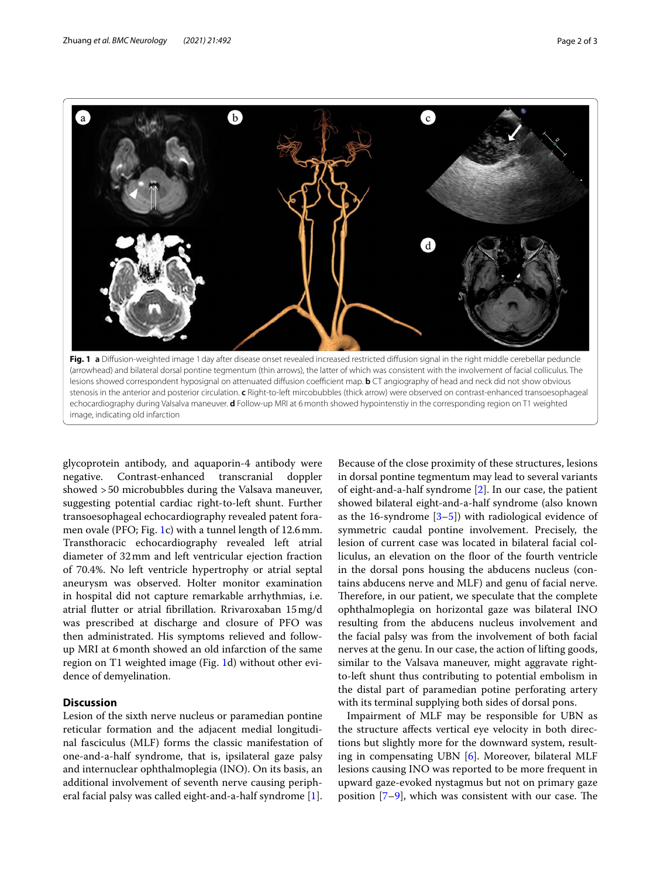

<span id="page-1-0"></span>glycoprotein antibody, and aquaporin-4 antibody were negative. Contrast-enhanced transcranial doppler showed >50 microbubbles during the Valsava maneuver, suggesting potential cardiac right-to-left shunt. Further transoesophageal echocardiography revealed patent foramen ovale (PFO; Fig. [1](#page-1-0)c) with a tunnel length of 12.6mm. Transthoracic echocardiography revealed left atrial diameter of 32mm and left ventricular ejection fraction of 70.4%. No left ventricle hypertrophy or atrial septal aneurysm was observed. Holter monitor examination in hospital did not capture remarkable arrhythmias, i.e. atrial futter or atrial fbrillation. Rrivaroxaban 15mg/d was prescribed at discharge and closure of PFO was then administrated. His symptoms relieved and followup MRI at 6month showed an old infarction of the same region on T1 weighted image (Fig. [1d](#page-1-0)) without other evidence of demyelination.

# **Discussion**

Lesion of the sixth nerve nucleus or paramedian pontine reticular formation and the adjacent medial longitudinal fasciculus (MLF) forms the classic manifestation of one-and-a-half syndrome, that is, ipsilateral gaze palsy and internuclear ophthalmoplegia (INO). On its basis, an additional involvement of seventh nerve causing peripheral facial palsy was called eight-and-a-half syndrome [\[1](#page-2-0)].

Because of the close proximity of these structures, lesions in dorsal pontine tegmentum may lead to several variants of eight-and-a-half syndrome [[2\]](#page-2-1). In our case, the patient showed bilateral eight-and-a-half syndrome (also known as the 16-syndrome  $[3-5]$  $[3-5]$  with radiological evidence of symmetric caudal pontine involvement. Precisely, the lesion of current case was located in bilateral facial colliculus, an elevation on the foor of the fourth ventricle in the dorsal pons housing the abducens nucleus (contains abducens nerve and MLF) and genu of facial nerve. Therefore, in our patient, we speculate that the complete ophthalmoplegia on horizontal gaze was bilateral INO resulting from the abducens nucleus involvement and the facial palsy was from the involvement of both facial nerves at the genu. In our case, the action of lifting goods, similar to the Valsava maneuver, might aggravate rightto-left shunt thus contributing to potential embolism in the distal part of paramedian potine perforating artery with its terminal supplying both sides of dorsal pons.

Impairment of MLF may be responsible for UBN as the structure afects vertical eye velocity in both directions but slightly more for the downward system, resulting in compensating UBN [[6\]](#page-2-4). Moreover, bilateral MLF lesions causing INO was reported to be more frequent in upward gaze-evoked nystagmus but not on primary gaze position  $[7-9]$  $[7-9]$ , which was consistent with our case. The